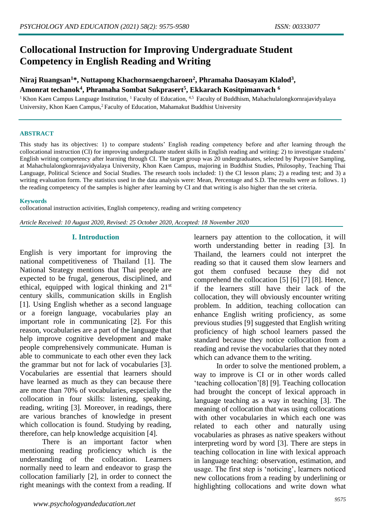# **Collocational Instruction for Improving Undergraduate Student Competency in English Reading and Writing**

# **Niraj Ruangsan<sup>1</sup>\*, Nuttapong Khachornsaengcharoen<sup>2</sup> , Phramaha Daosayam Klalod<sup>3</sup> , Amonrat techanok<sup>4</sup> , Phramaha Sombat Sukprasert<sup>5</sup> , Ekkarach Kositpimanvach <sup>6</sup>**

<sup>1</sup> Khon Kaen Campus Language Institution, <sup>1</sup> Faculty of Education, <sup>4,5</sup> Faculty of Buddhism, Mahachulalongkornrajavidyalaya University, Khon Kaen Campus,<sup>2</sup>Faculty of Education, Mahamakut Buddhist University

#### **ABSTRACT**

This study has its objectives: 1) to compare students' English reading competency before and after learning through the collocational instruction (CI) for improving undergraduate student skills in English reading and writing: 2) to investigate students' English writing competency after learning through CI. The target group was 20 undergraduates, selected by Purposive Sampling, at Mahachulalongkornrajavidyalaya University, Khon Kaen Campus, majoring in Buddhist Studies, Philosophy, Teaching Thai Language, Political Science and Social Studies. The research tools included: 1) the CI lesson plans; 2) a reading test; and 3) a writing evaluation form. The statistics used in the data analysis were: Mean, Percentage and S.D. The results were as follows. 1) the reading competency of the samples is higher after learning by CI and that writing is also higher than the set criteria.

#### **Keywords**

collocational instruction activities, English competency, reading and writing competency

*Article Received: 10 August 2020, Revised: 25 October 2020, Accepted: 18 November 2020*

# **I. Introduction**

English is very important for improving the national competitiveness of Thailand [1]. The National Strategy mentions that Thai people are expected to be frugal, generous, disciplined, and ethical, equipped with logical thinking and 21st century skills, communication skills in English [1]. Using English whether as a second language or a foreign language, vocabularies play an important role in communicating [2]. For this reason, vocabularies are a part of the language that help improve cognitive development and make people comprehensively communicate. Human is able to communicate to each other even they lack the grammar but not for lack of vocabularies [3]. Vocabularies are essential that learners should have learned as much as they can because there are more than 70% of vocabularies, especially the collocation in four skills: listening, speaking, reading, writing [3]. Moreover, in readings, there are various branches of knowledge in present which collocation is found. Studying by reading, therefore, can help knowledge acquisition [4].

There is an important factor when mentioning reading proficiency which is the understanding of the collocation. Learners normally need to learn and endeavor to grasp the collocation familiarly [2], in order to connect the right meanings with the context from a reading. If learners pay attention to the collocation, it will worth understanding better in reading [3]. In Thailand, the learners could not interpret the reading so that it caused them slow learners and got them confused because they did not comprehend the collocation [5] [6] [7] [8]. Hence, if the learners still have their lack of the collocation, they will obviously encounter writing problem. In addition, teaching collocation can enhance English writing proficiency, as some previous studies [9] suggested that English writing proficiency of high school learners passed the standard because they notice collocation from a reading and revise the vocabularies that they noted which can advance them to the writing.

In order to solve the mentioned problem, a way to improve is CI or in other words called 'teaching collocation'[8] [9]. Teaching collocation had brought the concept of lexical approach in language teaching as a way in teaching [3]. The meaning of collocation that was using collocations with other vocabularies in which each one was related to each other and naturally using vocabularies as phrases as native speakers without interpreting word by word [3]. There are steps in teaching collocation in line with lexical approach in language teaching: observation, estimation, and usage. The first step is 'noticing', learners noticed new collocations from a reading by underlining or highlighting collocations and write down what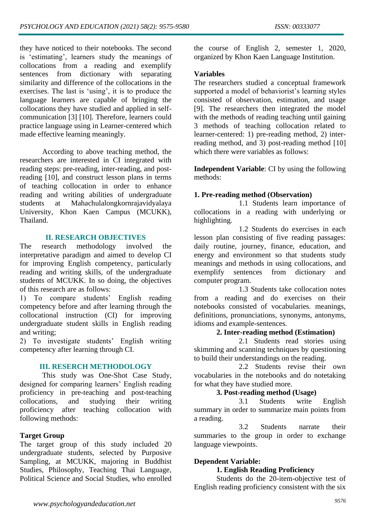they have noticed to their notebooks. The second is 'estimating', learners study the meanings of collocations from a reading and exemplify sentences from dictionary with separating similarity and difference of the collocations in the exercises. The last is 'using', it is to produce the language learners are capable of bringing the collocations they have studied and applied in selfcommunication [3] [10]. Therefore, learners could practice language using in Learner-centered which made effective learning meaningly.

According to above teaching method, the researchers are interested in CI integrated with reading steps: pre-reading, inter-reading, and postreading [10], and construct lesson plans in terms of teaching collocation in order to enhance reading and writing abilities of undergraduate students at Mahachulalongkornrajavidyalaya University, Khon Kaen Campus (MCUKK), Thailand.

# **II. RESEARCH OBJECTIVES**

The research methodology involved the interpretative paradigm and aimed to develop CI for improving English competency, particularly reading and writing skills, of the undergraduate students of MCUKK. In so doing, the objectives of this research are as follows:

1) To compare students' English reading competency before and after learning through the collocational instruction (CI) for improving undergraduate student skills in English reading and writing;

2) To investigate students' English writing competency after learning through CI.

#### **III. RESERCH METHODOLOGY**

This study was One-Shot Case Study, designed for comparing learners' English reading proficiency in pre-teaching and post-teaching collocations, and studying their writing proficiency after teaching collocation with following methods:

# **Target Group**

The target group of this study included 20 undergraduate students, selected by Purposive Sampling, at MCUKK, majoring in Buddhist Studies, Philosophy, Teaching Thai Language, Political Science and Social Studies, who enrolled the course of English 2, semester 1, 2020, organized by Khon Kaen Language Institution.

## **Variables**

The researchers studied a conceptual framework supported a model of behaviorist's learning styles consisted of observation, estimation, and usage [9]. The researchers then integrated the model with the methods of reading teaching until gaining 3 methods of teaching collocation related to learner-centered: 1) pre-reading method, 2) interreading method, and 3) post-reading method [10] which there were variables as follows:

**Independent Variable**: CI by using the following methods:

# **1. Pre-reading method (Observation)**

1.1 Students learn importance of collocations in a reading with underlying or highlighting.

1.2 Students do exercises in each lesson plan consisting of five reading passages: daily routine, journey, finance, education, and energy and environment so that students study meanings and methods in using collocations, and exemplify sentences from dictionary and computer program.

1.3 Students take collocation notes from a reading and do exercises on their notebooks consisted of vocabularies. meanings, definitions, pronunciations, synonyms, antonyms, idioms and example-sentences.

# **2. Inter-reading method (Estimation)**

2.1 Students read stories using skimming and scanning techniques by questioning to build their understandings on the reading.

2.2 Students revise their own vocabularies in the notebooks and do notetaking for what they have studied more.

## **3. Post-reading method (Usage)**

3.1 Students write English summary in order to summarize main points from a reading.

3.2 Students narrate their summaries to the group in order to exchange language viewpoints.

# **Dependent Variable:**

## **1. English Reading Proficiency**

Students do the 20-item-objective test of English reading proficiency consistent with the six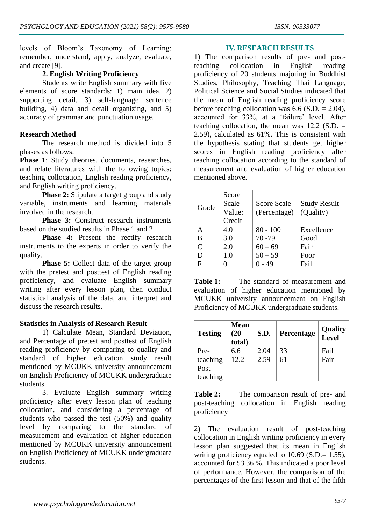levels of Bloom's Taxonomy of Learning: remember, understand, apply, analyze, evaluate, and create [9].

# **2. English Writing Proficiency**

Students write English summary with five elements of score standards: 1) main idea, 2) supporting detail, 3) self-language sentence building, 4) data and detail organizing, and 5) accuracy of grammar and punctuation usage.

# **Research Method**

The research method is divided into 5 phases as follows:

Phase 1: Study theories, documents, researches, and relate literatures with the following topics: teaching collocation, English reading proficiency, and English writing proficiency.

**Phase 2:** Stipulate a target group and study variable, instruments and learning materials involved in the research.

**Phase 3:** Construct research instruments based on the studied results in Phase 1 and 2.

Phase 4: Present the rectify research instruments to the experts in order to verify the quality.

**Phase 5:** Collect data of the target group with the pretest and posttest of English reading proficiency, and evaluate English summary writing after every lesson plan, then conduct statistical analysis of the data, and interpret and discuss the research results.

# **Statistics in Analysis of Research Result**

1) Calculate Mean, Standard Deviation, and Percentage of pretest and posttest of English reading proficiency by comparing to quality and standard of higher education study result mentioned by MCUKK university announcement on English Proficiency of MCUKK undergraduate students.

3. Evaluate English summary writing proficiency after every lesson plan of teaching collocation, and considering a percentage of students who passed the test (50%) and quality level by comparing to the standard of measurement and evaluation of higher education mentioned by MCUKK university announcement on English Proficiency of MCUKK undergraduate students.

#### **IV. RESEARCH RESULTS**

1) The comparison results of pre- and postteaching collocation in English reading proficiency of 20 students majoring in Buddhist Studies, Philosophy, Teaching Thai Language, Political Science and Social Studies indicated that the mean of English reading proficiency score before teaching collocation was  $6.6$  (S.D. = 2.04). accounted for 33%, at a 'failure' level. After teaching collocation, the mean was  $12.2$  (S.D. = 2.59), calculated as 61%. This is consistent with the hypothesis stating that students get higher scores in English reading proficiency after teaching collocation according to the standard of measurement and evaluation of higher education mentioned above.

| Grade         | Score<br>Scale<br>Value:<br>Credit | Score Scale<br>(Percentage) | <b>Study Result</b><br>(Quality) |
|---------------|------------------------------------|-----------------------------|----------------------------------|
|               | 4.0                                | $80 - 100$                  | Excellence                       |
| В             | 3.0                                | $70 - 79$                   | Good                             |
| $\mathcal{C}$ | 2.0                                | $60 - 69$                   | Fair                             |
| D             | 1.0                                | $50 - 59$                   | Poor                             |
| F             |                                    |                             | Fail                             |

**Table 1:** The standard of measurement and evaluation of higher education mentioned by MCUKK university announcement on English Proficiency of MCUKK undergraduate students.

| <b>Testing</b> | <b>Mean</b><br>(20<br>total) | S.D. | Percentage | <b>Quality</b><br>Level |
|----------------|------------------------------|------|------------|-------------------------|
| Pre-           | 6.6                          | 2.04 | 33         | Fail                    |
| teaching       | 12.2                         | 2.59 | 61         | Fair                    |
| Post-          |                              |      |            |                         |
| teaching       |                              |      |            |                         |

**Table 2:** The comparison result of pre- and post-teaching collocation in English reading proficiency

2) The evaluation result of post-teaching collocation in English writing proficiency in every lesson plan suggested that its mean in English writing proficiency equaled to  $10.69$  (S.D.=  $1.55$ ), accounted for 53.36 %. This indicated a poor level of performance. However, the comparison of the percentages of the first lesson and that of the fifth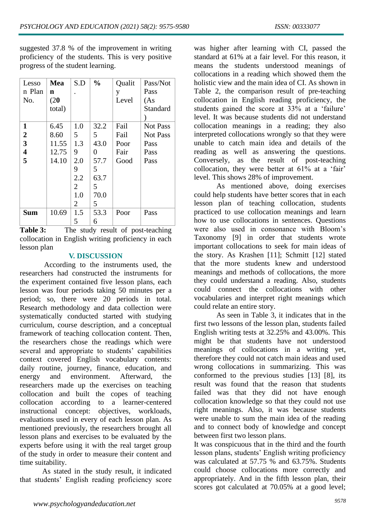suggested 37.8 % of the improvement in writing proficiency of the students. This is very positive progress of the student learning.

| Lesso                   | Mea    | S.D            | $\frac{0}{0}$ | Qualit | Pass/Not        |
|-------------------------|--------|----------------|---------------|--------|-----------------|
| n Plan                  | n      |                |               | у      | Pass            |
| No.                     | (20)   |                |               | Level  | (As             |
|                         | total) |                |               |        | Standard        |
|                         |        |                |               |        |                 |
| 1                       | 6.45   | 1.0            | 32.2          | Fail   | <b>Not Pass</b> |
| $\boldsymbol{2}$        | 8.60   | 5              | 5             | Fail   | <b>Not Pass</b> |
| 3                       | 11.55  | 1.3            | 43.0          | Poor   | Pass            |
| $\overline{\mathbf{4}}$ | 12.75  | 9              | 0             | Fair   | Pass            |
| 5                       | 14.10  | 2.0            | 57.7          | Good   | Pass            |
|                         |        | 9              | 5             |        |                 |
|                         |        | 2.2            | 63.7          |        |                 |
|                         |        | $\overline{2}$ | 5             |        |                 |
|                         |        | 1.0            | 70.0          |        |                 |
|                         |        | 2              | 5             |        |                 |
| <b>Sum</b>              | 10.69  | 1.5            | 53.3          | Poor   | Pass            |
|                         |        | 5              | 6             |        |                 |

Table 3: The study result of post-teaching collocation in English writing proficiency in each lesson plan

# **V. DISCUSSION**

According to the instruments used, the researchers had constructed the instruments for the experiment contained five lesson plans, each lesson was four periods taking 50 minutes per a period; so, there were 20 periods in total. Research methodology and data collection were systematically conducted started with studying curriculum, course description, and a conceptual framework of teaching collocation content. Then, the researchers chose the readings which were several and appropriate to students' capabilities context covered English vocabulary contents: daily routine, journey, finance, education, and energy and environment. Afterward, the researchers made up the exercises on teaching collocation and built the copes of teaching collocation according to a learner-centered instructional concept: objectives, workloads, evaluations used in every of each lesson plan. As mentioned previously, the researchers brought all lesson plans and exercises to be evaluated by the experts before using it with the real target group of the study in order to measure their content and time suitability.

As stated in the study result, it indicated that students' English reading proficiency score

was higher after learning with CI, passed the standard at 61% at a fair level. For this reason, it means the students understood meanings of collocations in a reading which showed them the holistic view and the main idea of CI. As shown in Table 2, the comparison result of pre-teaching collocation in English reading proficiency, the students gained the score at 33% at a 'failure' level. It was because students did not understand collocation meanings in a reading; they also interpreted collocations wrongly so that they were unable to catch main idea and details of the reading as well as answering the questions. Conversely, as the result of post-teaching collocation, they were better at 61% at a 'fair' level. This shows 28% of improvement.

As mentioned above, doing exercises could help students have better scores that in each lesson plan of teaching collocation, students practiced to use collocation meanings and learn how to use collocations in sentences. Questions were also used in consonance with Bloom's Taxonomy [9] in order that students wrote important collocations to seek for main ideas of the story. As Krashen [11]; Schmitt [12] stated that the more students knew and understood meanings and methods of collocations, the more they could understand a reading. Also, students could connect the collocations with other vocabularies and interpret right meanings which could relate an entire story.

As seen in Table 3, it indicates that in the first two lessons of the lesson plan, students failed English writing tests at 32.25% and 43.00%. This might be that students have not understood meanings of collocations in a writing yet, therefore they could not catch main ideas and used wrong collocations in summarizing. This was conformed to the previous studies [13] [8], its result was found that the reason that students failed was that they did not have enough collocation knowledge so that they could not use right meanings. Also, it was because students were unable to sum the main idea of the reading and to connect body of knowledge and concept between first two lesson plans.

It was conspicuous that in the third and the fourth lesson plans, students' English writing proficiency was calculated at 57.75 % and 63.75%. Students could choose collocations more correctly and appropriately. And in the fifth lesson plan, their scores got calculated at 70.05% at a good level;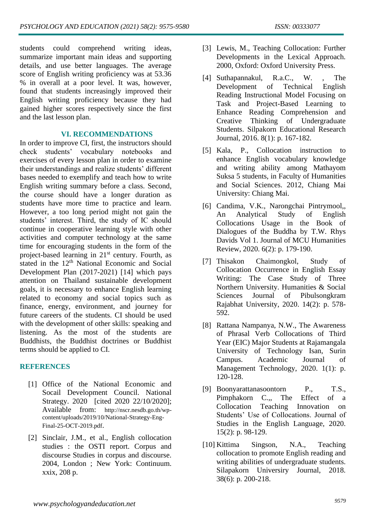students could comprehend writing ideas, summarize important main ideas and supporting details, and use better languages. The average score of English writing proficiency was at 53.36 % in overall at a poor level. It was, however, found that students increasingly improved their English writing proficiency because they had gained higher scores respectively since the first and the last lesson plan.

## **VI. RECOMMENDATIONS**

In order to improve CI, first, the instructors should check students' vocabulary notebooks and exercises of every lesson plan in order to examine their understandings and realize students' different bases needed to exemplify and teach how to write English writing summary before a class. Second, the course should have a longer duration as students have more time to practice and learn. However, a too long period might not gain the students' interest. Third, the study of IC should continue in cooperative learning style with other activities and computer technology at the same time for encouraging students in the form of the project-based learning in 21<sup>st</sup> century. Fourth, as stated in the 12<sup>th</sup> National Economic and Social Development Plan (2017-2021) [14] which pays attention on Thailand sustainable development goals, it is necessary to enhance English learning related to economy and social topics such as finance, energy, environment, and journey for future careers of the students. CI should be used with the development of other skills: speaking and listening. As the most of the students are Buddhists, the Buddhist doctrines or Buddhist terms should be applied to CI.

# **REFERENCES**

- [1] Office of the National Economic and Socail Development Council. National Strategy. 2020 [cited 2020 22/10/2020]; Available from: [http://nscr.nesdb.go.th/wp](http://nscr.nesdb.go.th/wp-content/uploads/2019/10/National-Strategy-Eng-Final-25-OCT-2019.pdf)[content/uploads/2019/10/National-Strategy-Eng-](http://nscr.nesdb.go.th/wp-content/uploads/2019/10/National-Strategy-Eng-Final-25-OCT-2019.pdf)[Final-25-OCT-2019.pdf](http://nscr.nesdb.go.th/wp-content/uploads/2019/10/National-Strategy-Eng-Final-25-OCT-2019.pdf).
- [2] Sinclair, J.M., et al., English collocation studies : the OSTI report. Corpus and discourse Studies in corpus and discourse. 2004, London ; New York: Continuum. xxix, 208 p.
- [3] Lewis, M., Teaching Collocation: Further Developments in the Lexical Approach. 2000, Oxford: Oxford University Press.
- [4] Suthapannakul, R.a.C., W. , The Development of Technical English Reading Instructional Model Focusing on Task and Project-Based Learning to Enhance Reading Comprehension and Creative Thinking of Undergraduate Students. Silpakorn Educational Research Journal, 2016. 8(1): p. 167-182.
- [5] Kala, P., Collocation instruction to enhance English vocabulary knowledge and writing ability among Mathayom Suksa 5 students, in Faculty of Humanities and Social Sciences. 2012, Chiang Mai University: Chiang Mai.
- [6] Candima, V.K., Narongchai Pintrymool,, An Analytical Study of English Collocations Usage in the Book of Dialogues of the Buddha by T.W. Rhys Davids Vol 1. Journal of MCU Humanities Review, 2020. 6(2): p. 179-190.
- [7] Thisakon Chaimongkol, Study of Collocation Occurrence in English Essay Writing: The Case Study of Three Northern University. Humanities & Social Sciences Journal of Pibulsongkram Rajabhat University, 2020. 14(2): p. 578- 592.
- [8] Rattana Nampanya, N.W., The Awareness of Phrasal Verb Collocations of Third Year (EIC) Major Students at Rajamangala University of Technology Isan, Surin Campus. Academic Journal of Management Technology, 2020. 1(1): p. 120-128.
- [9] Boonyarattanasoontorn P., T.S., Pimphakorn C.,, The Effect of a Collocation Teaching Innovation on Students' Use of Collocations. Journal of Studies in the English Language, 2020. 15(2): p. 98-129.
- [10] Kittima Singson, N.A., Teaching collocation to promote English reading and writing abilities of undergraduate students. Silapakorn Universiry Journal, 2018. 38(6): p. 200-218.